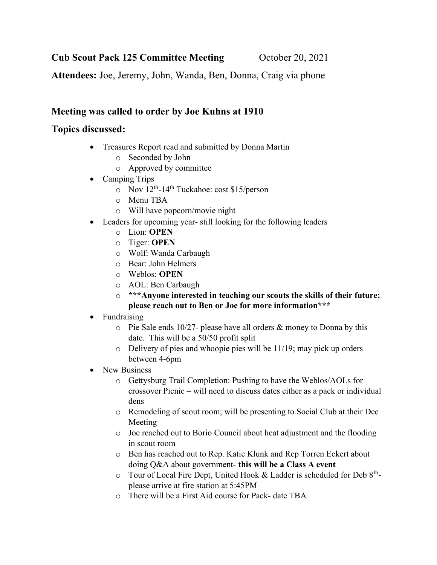Cub Scout Pack 125 Committee Meeting October 20, 2021

Attendees: Joe, Jeremy, John, Wanda, Ben, Donna, Craig via phone

## Meeting was called to order by Joe Kuhns at 1910

## Topics discussed:

- Treasures Report read and submitted by Donna Martin
	- o Seconded by John
	- o Approved by committee
- Camping Trips
	- $\circ$  Nov  $12^{th}$ -14<sup>th</sup> Tuckahoe: cost \$15/person
	- o Menu TBA
	- o Will have popcorn/movie night
- Leaders for upcoming year- still looking for the following leaders
	- o Lion: OPEN
	- o Tiger: OPEN
	- o Wolf: Wanda Carbaugh
	- o Bear: John Helmers
	- o Weblos: OPEN
	- o AOL: Ben Carbaugh
	- o \*\*\*Anyone interested in teaching our scouts the skills of their future; please reach out to Ben or Joe for more information\*\*\*
- Fundraising
	- o Pie Sale ends 10/27- please have all orders & money to Donna by this date. This will be a 50/50 profit split
	- $\circ$  Delivery of pies and whoopie pies will be 11/19; may pick up orders between 4-6pm
- New Business
	- o Gettysburg Trail Completion: Pushing to have the Weblos/AOLs for crossover Picnic – will need to discuss dates either as a pack or individual dens
	- o Remodeling of scout room; will be presenting to Social Club at their Dec Meeting
	- o Joe reached out to Borio Council about heat adjustment and the flooding in scout room
	- o Ben has reached out to Rep. Katie Klunk and Rep Torren Eckert about doing Q&A about government- this will be a Class A event
	- $\circ$  Tour of Local Fire Dept, United Hook & Ladder is scheduled for Deb 8<sup>th</sup>please arrive at fire station at 5:45PM
	- o There will be a First Aid course for Pack- date TBA